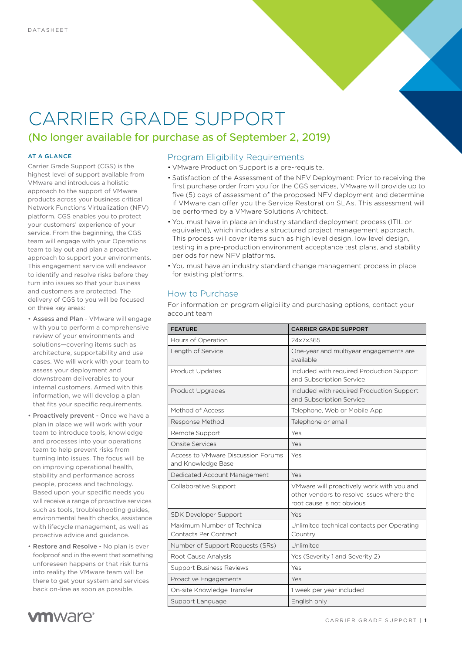# CARRIER GRADE SUPPORT

### (No longer available for purchase as of September 2, 2019)

#### AT A GLANCE

Carrier Grade Support (CGS) is the highest level of support available from VMware and introduces a holistic approach to the support of VMware products across your business critical Network Functions Virtualization (NFV) platform. CGS enables you to protect your customers' experience of your service. From the beginning, the CGS team will engage with your Operations team to lay out and plan a proactive approach to support your environments. This engagement service will endeavor to identify and resolve risks before they turn into issues so that your business and customers are protected. The delivery of CGS to you will be focused on three key areas:

- Assess and Plan VMware will engage with you to perform a comprehensive review of your environments and solutions—covering items such as architecture, supportability and use cases. We will work with your team to assess your deployment and downstream deliverables to your internal customers. Armed with this information, we will develop a plan that fits your specific requirements.
- Proactively prevent Once we have a plan in place we will work with your team to introduce tools, knowledge and processes into your operations team to help prevent risks from turning into issues. The focus will be on improving operational health, stability and performance across people, process and technology. Based upon your specific needs you will receive a range of proactive services such as tools, troubleshooting guides, environmental health checks, assistance with lifecycle management, as well as proactive advice and guidance.
- Restore and Resolve No plan is ever foolproof and in the event that something unforeseen happens or that risk turns into reality the VMware team will be there to get your system and services back on-line as soon as possible.



#### Program Eligibility Requirements

- VMware Production Support is a pre-requisite.
- Satisfaction of the Assessment of the NFV Deployment: Prior to receiving the first purchase order from you for the CGS services, VMware will provide up to five (5) days of assessment of the proposed NFV deployment and determine if VMware can offer you the Service Restoration SLAs. This assessment will be performed by a VMware Solutions Architect.
- You must have in place an industry standard deployment process (ITIL or equivalent), which includes a structured project management approach. This process will cover items such as high level design, low level design, testing in a pre-production environment acceptance test plans, and stability periods for new NFV platforms.
- You must have an industry standard change management process in place for existing platforms.

#### How to Purchase

For information on program eligibility and purchasing options, contact your account team

| <b>FEATURE</b>                                           | <b>CARRIER GRADE SUPPORT</b>                                                                                        |
|----------------------------------------------------------|---------------------------------------------------------------------------------------------------------------------|
| Hours of Operation                                       | 24x7x365                                                                                                            |
| Length of Service                                        | One-year and multiyear engagements are<br>available                                                                 |
| <b>Product Updates</b>                                   | Included with required Production Support<br>and Subscription Service                                               |
| Product Upgrades                                         | Included with required Production Support<br>and Subscription Service                                               |
| Method of Access                                         | Telephone, Web or Mobile App                                                                                        |
| Response Method                                          | Telephone or email                                                                                                  |
| Remote Support                                           | Yes                                                                                                                 |
| Onsite Services                                          | Yes                                                                                                                 |
| Access to VMware Discussion Forums<br>and Knowledge Base | Yes                                                                                                                 |
| Dedicated Account Management                             | Yes                                                                                                                 |
| Collaborative Support                                    | VMware will proactively work with you and<br>other vendors to resolve issues where the<br>root cause is not obvious |
| SDK Developer Support                                    | Yes                                                                                                                 |
| Maximum Number of Technical<br>Contacts Per Contract     | Unlimited technical contacts per Operating<br>Country                                                               |
| Number of Support Requests (SRs)                         | Unlimited                                                                                                           |
| Root Cause Analysis                                      | Yes (Severity 1 and Severity 2)                                                                                     |
| <b>Support Business Reviews</b>                          | Yes                                                                                                                 |
| Proactive Engagements                                    | Yes                                                                                                                 |
| On-site Knowledge Transfer                               | 1 week per year included                                                                                            |
| Support Language.                                        | English only                                                                                                        |